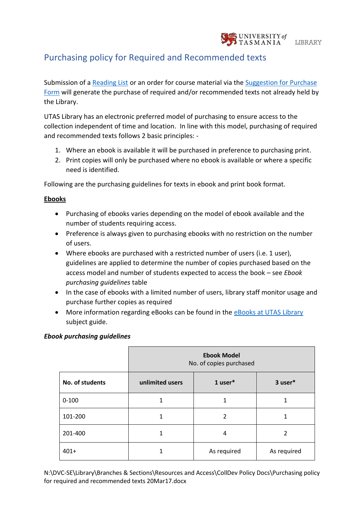

## Purchasing policy for Required and Recommended texts

Submission of a [Reading List](http://www.utas.edu.au/library/teach/reading-lists) or an order for course material via the [Suggestion for](http://www.utas.edu.au/library/forms/suggestion-for-purchase-form) Purchase [Form](http://www.utas.edu.au/library/forms/suggestion-for-purchase-form) will generate the purchase of required and/or recommended texts not already held by the Library.

UTAS Library has an electronic preferred model of purchasing to ensure access to the collection independent of time and location. In line with this model, purchasing of required and recommended texts follows 2 basic principles: -

- 1. Where an ebook is available it will be purchased in preference to purchasing print.
- 2. Print copies will only be purchased where no ebook is available or where a specific need is identified.

Following are the purchasing guidelines for texts in ebook and print book format.

## **Ebooks**

- Purchasing of ebooks varies depending on the model of ebook available and the number of students requiring access.
- Preference is always given to purchasing ebooks with no restriction on the number of users.
- Where ebooks are purchased with a restricted number of users (i.e. 1 user), guidelines are applied to determine the number of copies purchased based on the access model and number of students expected to access the book – see *Ebook purchasing guidelines* table
- In the case of ebooks with a limited number of users, library staff monitor usage and purchase further copies as required
- More information regarding eBooks can be found in the [eBooks at UTAS Library](http://utas.libguides.com/c.php?g=498410&p=3411560) subject guide.

|                 | <b>Ebook Model</b><br>No. of copies purchased |             |             |
|-----------------|-----------------------------------------------|-------------|-------------|
| No. of students | unlimited users                               | 1 user*     | 3 user*     |
| $0 - 100$       |                                               | 1           |             |
| 101-200         |                                               | 2           |             |
| 201-400         |                                               | 4           | 2           |
| $401+$          |                                               | As required | As required |

## *Ebook purchasing guidelines*

N:\DVC-SE\Library\Branches & Sections\Resources and Access\CollDev Policy Docs\Purchasing policy for required and recommended texts 20Mar17.docx